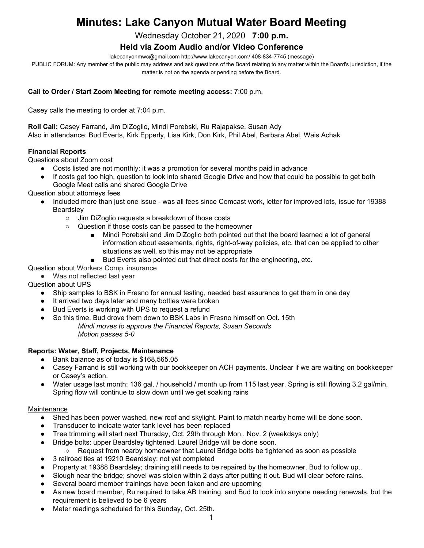# **Minutes: Lake Canyon Mutual Water Board Meeting**

Wednesday October 21, 2020 **7:00 p.m.**

# **Held via Zoom Audio and/or Video Conference**

lakecanyonmwc@gmail.com http://www.lakecanyon.com/ 408-834-7745 (message)

PUBLIC FORUM: Any member of the public may address and ask questions of the Board relating to any matter within the Board's jurisdiction, if the matter is not on the agenda or pending before the Board.

#### **Call to Order / Start Zoom Meeting for remote meeting access:** 7:00 p.m.

Casey calls the meeting to order at 7:04 p.m.

**Roll Call:** Casey Farrand, Jim DiZoglio, Mindi Porebski, Ru Rajapakse, Susan Ady Also in attendance: Bud Everts, Kirk Epperly, Lisa Kirk, Don Kirk, Phil Abel, Barbara Abel, Wais Achak

#### **Financial Reports**

Questions about Zoom cost

- Costs listed are not monthly; it was a promotion for several months paid in advance
- If costs get too high, question to look into shared Google Drive and how that could be possible to get both Google Meet calls and shared Google Drive

Question about attorneys fees

- Included more than just one issue was all fees since Comcast work, letter for improved lots, issue for 19388 **Beardsley** 
	- Jim DiZoglio requests a breakdown of those costs
	- Question if those costs can be passed to the homeowner
		- Mindi Porebski and Jim DiZoglio both pointed out that the board learned a lot of general information about easements, rights, right-of-way policies, etc. that can be applied to other situations as well, so this may not be appropriate
		- Bud Everts also pointed out that direct costs for the engineering, etc.

Question about Workers Comp. insurance

● Was not reflected last year

Question about UPS

- Ship samples to BSK in Fresno for annual testing, needed best assurance to get them in one day
- It arrived two days later and many bottles were broken
- Bud Everts is working with UPS to request a refund
- So this time, Bud drove them down to BSK Labs in Fresno himself on Oct. 15th *Mindi moves to approve the Financial Reports, Susan Seconds Motion passes 5-0*

#### **Reports: Water, Staff, Projects, Maintenance**

- Bank balance as of today is \$168,565.05
- Casey Farrand is still working with our bookkeeper on ACH payments. Unclear if we are waiting on bookkeeper or Casey's action.
- Water usage last month: 136 gal. / household / month up from 115 last year. Spring is still flowing 3.2 gal/min. Spring flow will continue to slow down until we get soaking rains

#### **Maintenance**

- Shed has been power washed, new roof and skylight. Paint to match nearby home will be done soon.
- Transducer to indicate water tank level has been replaced
- Tree trimming will start next Thursday, Oct. 29th through Mon., Nov. 2 (weekdays only)
- Bridge bolts: upper Beardsley tightened. Laurel Bridge will be done soon.
	- Request from nearby homeowner that Laurel Bridge bolts be tightened as soon as possible
- 3 railroad ties at 19210 Beardsley: not yet completed
- Property at 19388 Beardsley; draining still needs to be repaired by the homeowner. Bud to follow up..
- Slough near the bridge; shovel was stolen within 2 days after putting it out. Bud will clear before rains.
- Several board member trainings have been taken and are upcoming
- As new board member, Ru required to take AB training, and Bud to look into anyone needing renewals, but the requirement is believed to be 6 years
- Meter readings scheduled for this Sunday, Oct. 25th.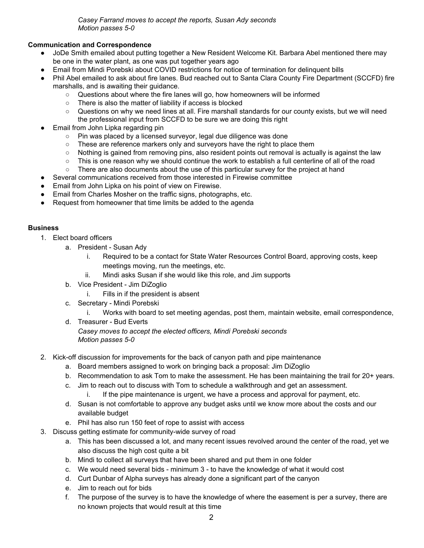*Casey Farrand moves to accept the reports, Susan Ady seconds Motion passes 5-0*

## **Communication and Correspondence**

- JoDe Smith emailed about putting together a New Resident Welcome Kit. Barbara Abel mentioned there may be one in the water plant, as one was put together years ago
- Email from Mindi Porebski about COVID restrictions for notice of termination for delinquent bills
- Phil Abel emailed to ask about fire lanes. Bud reached out to Santa Clara County Fire Department (SCCFD) fire marshalls, and is awaiting their guidance.
	- Questions about where the fire lanes will go, how homeowners will be informed
	- There is also the matter of liability if access is blocked
	- Questions on why we need lines at all. Fire marshall standards for our county exists, but we will need the professional input from SCCFD to be sure we are doing this right
- Email from John Lipka regarding pin
	- Pin was placed by a licensed surveyor, legal due diligence was done
	- These are reference markers only and surveyors have the right to place them
	- Nothing is gained from removing pins, also resident points out removal is actually is against the law
	- This is one reason why we should continue the work to establish a full centerline of all of the road
	- There are also documents about the use of this particular survey for the project at hand
- Several communications received from those interested in Firewise committee
- Email from John Lipka on his point of view on Firewise.
- Email from Charles Mosher on the traffic signs, photographs, etc.
- Request from homeowner that time limits be added to the agenda

#### **Business**

- 1. Elect board officers
	- a. President Susan Ady
		- i. Required to be a contact for State Water Resources Control Board, approving costs, keep meetings moving, run the meetings, etc.
		- ii. Mindi asks Susan if she would like this role, and Jim supports
	- b. Vice President Jim DiZoglio
		- i. Fills in if the president is absent
	- c. Secretary Mindi Porebski
		- i. Works with board to set meeting agendas, post them, maintain website, email correspondence,
	- d. Treasurer Bud Everts *Casey moves to accept the elected officers, Mindi Porebski seconds Motion passes 5-0*
- 2. Kick-off discussion for improvements for the back of canyon path and pipe maintenance
	- a. Board members assigned to work on bringing back a proposal: Jim DiZoglio
	- b. Recommendation to ask Tom to make the assessment. He has been maintaining the trail for 20+ years.
	- c. Jim to reach out to discuss with Tom to schedule a walkthrough and get an assessment.
		- i. If the pipe maintenance is urgent, we have a process and approval for payment, etc.
	- d. Susan is not comfortable to approve any budget asks until we know more about the costs and our available budget
	- e. Phil has also run 150 feet of rope to assist with access
- 3. Discuss getting estimate for community-wide survey of road
	- a. This has been discussed a lot, and many recent issues revolved around the center of the road, yet we also discuss the high cost quite a bit
	- b. Mindi to collect all surveys that have been shared and put them in one folder
	- c. We would need several bids minimum 3 to have the knowledge of what it would cost
	- d. Curt Dunbar of Alpha surveys has already done a significant part of the canyon
	- e. Jim to reach out for bids
	- f. The purpose of the survey is to have the knowledge of where the easement is per a survey, there are no known projects that would result at this time